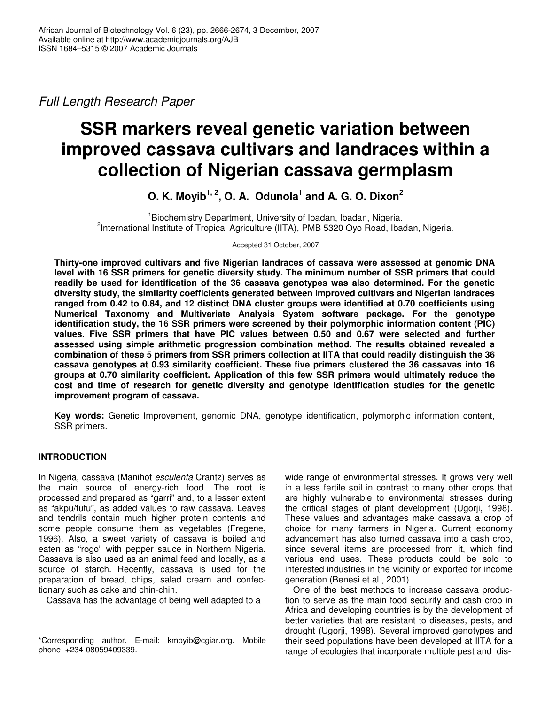*Full Length Research Paper*

# **SSR markers reveal genetic variation between improved cassava cultivars and landraces within a collection of Nigerian cassava germplasm**

**O. K. Moyib 1, 2 , O. A. Odunola 1 and A. G. O. Dixon 2**

<sup>1</sup> Biochemistry Department, University of Ibadan, Ibadan, Nigeria. <sup>2</sup>International Institute of Tropical Agriculture (IITA), PMB 5320 Oyo Road, Ibadan, Nigeria.

Accepted 31 October, 2007

**Thirty-one improved cultivars and five Nigerian landraces of cassava were assessed at genomic DNA level with 16 SSR primers for genetic diversity study. The minimum number of SSR primers that could readily be used for identification of the 36 cassava genotypes was also determined. For the genetic diversity study, the similarity coefficients generated between improved cultivars and Nigerian landraces ranged from 0.42 to 0.84, and 12 distinct DNA cluster groups were identified at 0.70 coefficients using Numerical Taxonomy and Multivariate Analysis System software package. For the genotype identification study, the 16 SSR primers were screened by their polymorphic information content (PIC) values. Five SSR primers that have PIC values between 0.50 and 0.67 were selected and further assessed using simple arithmetic progression combination method. The results obtained revealed a combination of these 5 primers from SSR primers collection at IITA that could readily distinguish the 36 cassava genotypes at 0.93 similarity coefficient. These five primers clustered the 36 cassavas into 16 groups at 0.70 similarity coefficient. Application of this few SSR primers would ultimately reduce the cost and time of research for genetic diversity and genotype identification studies for the genetic improvement program of cassava.**

**Key words:** Genetic Improvement*,* genomic DNA, genotype identification, polymorphic information content, SSR primers.

# **INTRODUCTION**

In Nigeria, cassava (Manihot *esculenta* Crantz) serves as the main source of energy-rich food. The root is processed and prepared as "garri" and, to a lesser extent as "akpu/fufu", as added values to raw cassava. Leaves and tendrils contain much higher protein contents and some people consume them as vegetables (Fregene, 1996). Also, a sweet variety of cassava is boiled and eaten as "rogo" with pepper sauce in Northern Nigeria. Cassava is also used as an animal feed and locally, as a source of starch. Recently, cassava is used for the preparation of bread, chips, salad cream and confectionary such as cake and chin-chin.

Cassava has the advantage of being well adapted to a

wide range of environmental stresses. It grows very well in a less fertile soil in contrast to many other crops that are highly vulnerable to environmental stresses during the critical stages of plant development (Ugorji, 1998). These values and advantages make cassava a crop of choice for many farmers in Nigeria. Current economy advancement has also turned cassava into a cash crop, since several items are processed from it, which find various end uses. These products could be sold to interested industries in the vicinity or exported for income generation (Benesi et al., 2001)

One of the best methods to increase cassava production to serve as the main food security and cash crop in Africa and developing countries is by the development of better varieties that are resistant to diseases, pests, and drought (Ugorji, 1998). Several improved genotypes and their seed populations have been developed at IITA for a range of ecologies that incorporate multiple pest and dis-

<sup>\*</sup>Corresponding author. E-mail: kmoyib@cgiar.org. Mobile phone: +234-08059409339.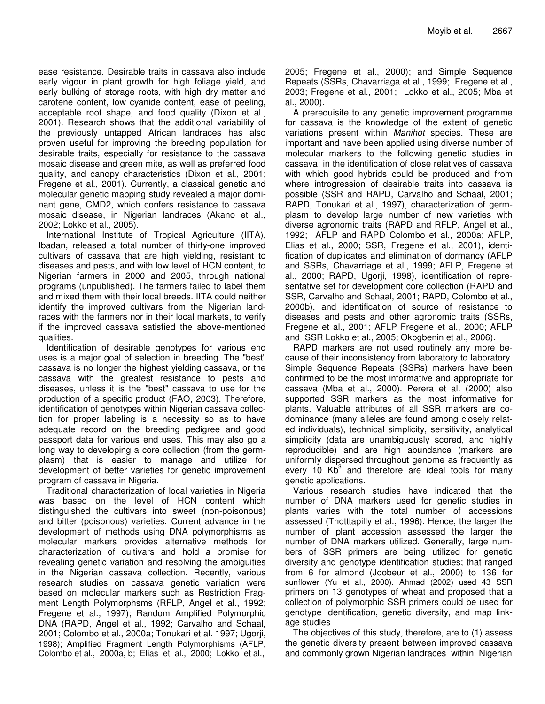ease resistance. Desirable traits in cassava also include early vigour in plant growth for high foliage yield, and early bulking of storage roots, with high dry matter and carotene content, low cyanide content, ease of peeling, acceptable root shape, and food quality (Dixon et al., 2001). Research shows that the additional variability of the previously untapped African landraces has also proven useful for improving the breeding population for desirable traits, especially for resistance to the cassava mosaic disease and green mite, as well as preferred food quality, and canopy characteristics (Dixon et al., 2001; Fregene et al., 2001). Currently, a classical genetic and molecular genetic mapping study revealed a major dominant gene, CMD2, which confers resistance to cassava mosaic disease, in Nigerian landraces (Akano et al., 2002; Lokko et al., 2005).

International Institute of Tropical Agriculture (IITA), Ibadan, released a total number of thirty-one improved cultivars of cassava that are high yielding, resistant to diseases and pests, and with low level of HCN content, to Nigerian farmers in 2000 and 2005, through national programs (unpublished). The farmers failed to label them and mixed them with their local breeds. IITA could neither identify the improved cultivars from the Nigerian landraces with the farmers nor in their local markets, to verify if the improved cassava satisfied the above-mentioned qualities.

Identification of desirable genotypes for various end uses is a major goal of selection in breeding. The "best" cassava is no longer the highest yielding cassava, or the cassava with the greatest resistance to pests and diseases, unless it is the "best" cassava to use for the production of a specific product (FAO, 2003). Therefore, identification of genotypes within Nigerian cassava collection for proper labeling is a necessity so as to have adequate record on the breeding pedigree and good passport data for various end uses. This may also go a long way to developing a core collection (from the germplasm) that is easier to manage and utilize for development of better varieties for genetic improvement program of cassava in Nigeria.

Traditional characterization of local varieties in Nigeria was based on the level of HCN content which distinguished the cultivars into sweet (non-poisonous) and bitter (poisonous) varieties. Current advance in the development of methods using DNA polymorphisms as molecular markers provides alternative methods for characterization of cultivars and hold a promise for revealing genetic variation and resolving the ambiguities in the Nigerian cassava collection. Recently, various research studies on cassava genetic variation were based on molecular markers such as Restriction Fragment Length Polymorphsms (RFLP, Angel et al., 1992; Fregene et al., 1997); Random Amplified Polymorphic DNA (RAPD, Angel et al., 1992; Carvalho and Schaal, 2001; Colombo et al., 2000a; Tonukari et al*.* 1997; Ugorji, 1998); Amplified Fragment Length Polymorphisms (AFLP, Colombo et al., 2000a, b; Elias et al., 2000; Lokko et al.,

2005; Fregene et al., 2000); and Simple Sequence Repeats (SSRs, Chavarriaga et al., 1999; Fregene et al., 2003; Fregene et al., 2001; Lokko et al., 2005; Mba et al., 2000).

A prerequisite to any genetic improvement programme for cassava is the knowledge of the extent of genetic variations present within *Manihot* species. These are important and have been applied using diverse number of molecular markers to the following genetic studies in cassava; in the identification of close relatives of cassava with which good hybrids could be produced and from where introgression of desirable traits into cassava is possible (SSR and RAPD, Carvalho and Schaal, 2001; RAPD, Tonukari et al., 1997), characterization of germplasm to develop large number of new varieties with diverse agronomic traits (RAPD and RFLP, Angel et al., 1992; AFLP and RAPD Colombo et al., 2000a; AFLP, Elias et al., 2000; SSR, Fregene et al., 2001), identification of duplicates and elimination of dormancy (AFLP and SSRs, Chavarriage et al., 1999; AFLP, Fregene et al., 2000; RAPD, Ugorji, 1998), identification of representative set for development core collection (RAPD and SSR, Carvalho and Schaal, 2001; RAPD, Colombo et al., 2000b), and identification of source of resistance to diseases and pests and other agronomic traits (SSRs, Fregene et al., 2001; AFLP Fregene et al., 2000; AFLP and SSR Lokko et al., 2005; Okogbenin et al., 2006).

RAPD markers are not used routinely any more because of their inconsistency from laboratory to laboratory. Simple Sequence Repeats (SSRs) markers have been confirmed to be the most informative and appropriate for cassava (Mba et al., 2000). Perera et al. (2000) also supported SSR markers as the most informative for plants. Valuable attributes of all SSR markers are codominance (many alleles are found among closely related individuals), technical simplicity, sensitivity, analytical simplicity (data are unambiguously scored, and highly reproducible) and are high abundance (markers are uniformly dispersed throughout genome as frequently as every 10  $Kb<sup>3</sup>$  and therefore are ideal tools for many genetic applications.

Various research studies have indicated that the number of DNA markers used for genetic studies in plants varies with the total number of accessions assessed (Thotttapilly et al., 1996). Hence, the larger the number of plant accession assessed the larger the number of DNA markers utilized. Generally, large numbers of SSR primers are being utilized for genetic diversity and genotype identification studies; that ranged from 6 for almond (Joobeur et al., 2000) to 136 for sunflower (Yu et al., 2000). Ahmad (2002) used 43 SSR primers on 13 genotypes of wheat and proposed that a collection of polymorphic SSR primers could be used for genotype identification, genetic diversity, and map linkage studies

The objectives of this study, therefore, are to (1) assess the genetic diversity present between improved cassava and commonly grown Nigerian landraces within Nigerian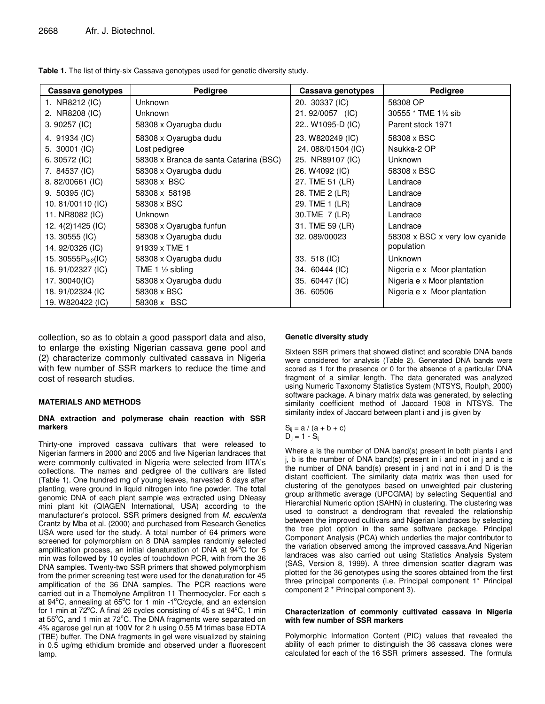| Table 1. The list of thirty-six Cassava genotypes used for genetic diversity study. |  |
|-------------------------------------------------------------------------------------|--|
|-------------------------------------------------------------------------------------|--|

| Cassava genotypes        | Pedigree                               | Cassava genotypes | Pedigree                       |
|--------------------------|----------------------------------------|-------------------|--------------------------------|
| 1. NR8212 (IC)           | <b>Unknown</b>                         | 20. 30337 (IC)    | 58308 OP                       |
| 2. NR8208 (IC)           | <b>Unknown</b>                         | 21.92/0057 (IC)   | 30555 * TME 11/2 sib           |
| 3. 90257 (IC)            | 58308 x Oyarugba dudu                  | 22 W1095-D (IC)   | Parent stock 1971              |
| 4. 91934 (IC)            | 58308 x Oyarugba dudu                  | 23. W820249 (IC)  | 58308 x BSC                    |
| 5. $30001$ (IC)          | Lost pedigree                          | 24.088/01504 (IC) | Nsukka-2 OP                    |
| 6.30572(IC)              | 58308 x Branca de santa Catarina (BSC) | 25. NR89107 (IC)  | <b>Unknown</b>                 |
| 7. 84537 (IC)            | 58308 x Oyarugba dudu                  | 26. W4092 (IC)    | 58308 x BSC                    |
| $8.82/00661$ (IC)        | 58308 x BSC                            | 27. TME 51 (LR)   | Landrace                       |
| $9.50395$ (IC)           | 58308 x 58198                          | 28. TME 2 (LR)    | Landrace                       |
| 10.81/00110 (IC)         | 58308 x BSC                            | 29. TME 1 (LR)    | Landrace                       |
| 11. NR8082 (IC)          | <b>Unknown</b>                         | 30.TME 7 (LR)     | Landrace                       |
| 12. 4(2) 1425 (IC)       | 58308 x Oyarugba funfun                | 31. TME 59 (LR)   | Landrace                       |
| 13. 30555 (IC)           | 58308 x Oyarugba dudu                  | 32.089/00023      | 58308 x BSC x very low cyanide |
| 14.92/0326 (IC)          | 91939 x TME 1                          |                   | population                     |
| 15. 30555 $P_{3-2}$ (IC) | 58308 x Oyarugba dudu                  | 33. 518 (IC)      | <b>Unknown</b>                 |
| 16.91/02327 (IC)         | TME 1 $\frac{1}{2}$ sibling            | 34. 60444 (IC)    | Nigeria e x Moor plantation    |
| 17. 30040(IC)            | 58308 x Oyarugba dudu                  | 35. 60447 (IC)    | Nigeria e x Moor plantation    |
| 18.91/02324 (IC          | 58308 x BSC                            | 36. 60506         | Nigeria e x Moor plantation    |
| 19. W820422 (IC)         | 58308 x BSC                            |                   |                                |

collection, so as to obtain a good passport data and also, to enlarge the existing Nigerian cassava gene pool and (2) characterize commonly cultivated cassava in Nigeria with few number of SSR markers to reduce the time and cost of research studies.

#### **MATERIALS AND METHODS**

#### **DNA extraction and polymerase chain reaction with SSR markers**

Thirty-one improved cassava cultivars that were released to Nigerian farmers in 2000 and 2005 and five Nigerian landraces that were commonly cultivated in Nigeria were selected from IITA's collections. The names and pedigree of the cultivars are listed (Table 1). One hundred mg of young leaves, harvested 8 days after planting, were ground in liquid nitrogen into fine powder. The total genomic DNA of each plant sample was extracted using DNeasy mini plant kit (QIAGEN International, USA) according to the manufacturer's protocol. SSR primers designed from *M. esculenta* Crantz by Mba et al. (2000) and purchased from Research Genetics USA were used for the study. A total number of 64 primers were screened for polymorphism on 8 DNA samples randomly selected amplification process, an initial denaturation of DNA at  $94^{\circ}$ C for 5 min was followed by 10 cycles of touchdown PCR, with from the 36 DNA samples. Twenty-two SSR primers that showed polymorphism from the primer screening test were used for the denaturation for 45 amplification of the 36 DNA samples. The PCR reactions were carried out in a Themolyne Amplitron 11 Thermocycler. For each s at 94°C, annealing at 65°C for 1 min -1°C/cycle, and an extension for 1 min at 72°C. A final 26 cycles consisting of 45 s at 94°C, 1 min at 55°C, and 1 min at 72°C. The DNA fragments were separated on 4% agarose gel run at 100V for 2 h using 0.55 M trimas base EDTA (TBE) buffer. The DNA fragments in gel were visualized by staining in 0.5 ug/mg ethidium bromide and observed under a fluorescent lamp.

#### **Genetic diversity study**

Sixteen SSR primers that showed distinct and scorable DNA bands were considered for analysis (Table 2). Generated DNA bands were scored as 1 for the presence or 0 for the absence of a particular DNA fragment of a similar length. The data generated was analyzed using Numeric Taxonomy Statistics System (NTSYS, Roulph, 2000) software package. A binary matrix data was generated, by selecting similarity coefficient method of Jaccard 1908 in NTSYS. The similarity index of Jaccard between plant i and j is given by

$$
S_{ij} = a / (a + b + c)
$$
  

$$
D_{ij} = 1 - S_{ij}
$$

Where a is the number of DNA band(s) present in both plants i and j, b is the number of DNA band(s) present in i and not in j and c is the number of DNA band(s) present in j and not in i and D is the distant coefficient. The similarity data matrix was then used for clustering of the genotypes based on unweighted pair clustering group arithmetic average (UPCGMA) by selecting Sequential and Hierarchial Numeric option (SAHN) in clustering. The clustering was used to construct a dendrogram that revealed the relationship between the improved cultivars and Nigerian landraces by selecting the tree plot option in the same software package. Principal Component Analysis (PCA) which underlies the major contributor to the variation observed among the improved cassava.And Nigerian landraces was also carried out using Statistics Analysis System (SAS, Version 8, 1999). A three dimension scatter diagram was plotted for the 36 genotypes using the scores obtained from the first three principal components (i.e. Principal component 1\* Principal component 2 \* Principal component 3).

#### **Characterization of commonly cultivated cassava in Nigeria with few number of SSR markers**

Polymorphic Information Content (PIC) values that revealed the ability of each primer to distinguish the 36 cassava clones were calculated for each of the 16 SSR primers assessed. The formula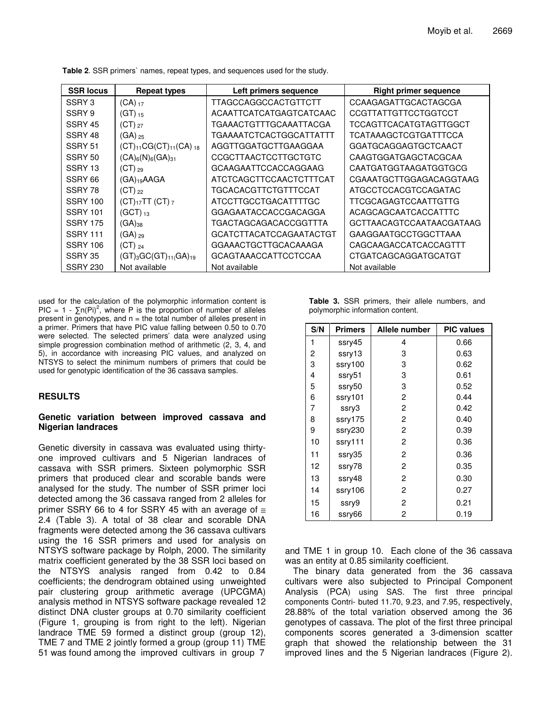| <b>SSR locus</b>   | <b>Repeat types</b>             | Left primers sequence          | <b>Right primer sequence</b>  |
|--------------------|---------------------------------|--------------------------------|-------------------------------|
| SSRY 3             | $(CA)_{17}$                     | TTAGCCAGGCCACTGTTCTT           | CCAAGAGATTGCACTAGCGA          |
| SSRY 9             | $(GT)_{15}$                     | ACAATTCATCATGAGTCATCAAC        | CCGTTATTGTTCCTGGTCCT          |
| SSRY 45            | $(CT)_{27}$                     | TGAAACTGTTTGCAAATTACGA         | <b>TCCAGTTCACATGTAGTTGGCT</b> |
| SSRY 48            | $(GA)_{25}$                     | TGAAAATCTCACTGGCATTATTT        | TCATAAAGCTCGTGATTTCCA         |
| SSRY <sub>51</sub> | $(CT)_{11}CG(CT)_{11}(CA)_{18}$ | AGGTTGGATGCTTGAAGGAA           | GGATGCAGGAGTGCTCAACT          |
| SSRY <sub>50</sub> | $(CA)_{6}(N)_{6}(GA)_{31}$      | CCGCTTAACTCCTTGCTGTC           | CAAGTGGATGAGCTACGCAA          |
| SSRY <sub>13</sub> | $(CT)_{29}$                     | GCAAGAATTCCACCAGGAAG           | CAATGATGGTAAGATGGTGCG         |
| SSRY 66            | (GA) <sub>19</sub> AAGA         | ATCTCAGCTTCCAACTCTTTCAT        | CGAAATGCTTGGAGACAGGTAAG       |
| SSRY 78            | $(CT)_{22}$                     | TGCACACGTTCTGTTTCCAT           | ATGCCTCCACGTCCAGATAC          |
| <b>SSRY 100</b>    | $(CT)_{17}TT$ $(CT)_{7}$        | ATCCTTGCCTGACATTTTGC           | TTCGCAGAGTCCAATTGTTG          |
| <b>SSRY 101</b>    | (GCT) $_{13}$                   | GGAGAATACCACCGACAGGA           | ACAGCAGCAATCACCATTTC          |
| <b>SSRY 175</b>    | $(GA)_{38}$                     | TGACTAGCAGACACCGGTTTA          | GCTTAACAGTCCAATAACGATAAG      |
| <b>SSRY 111</b>    | $(GA)_{29}$                     | <b>GCATCTTACATCCAGAATACTGT</b> | <b>GAAGGAATGCCTGGCTTAAA</b>   |
| <b>SSRY 106</b>    | $(CT)_{24}$                     | <b>GGAAACTGCTTGCACAAAGA</b>    | CAGCAAGACCATCACCAGTTT         |
| SSRY 35            | $(GT)_{3}GC(GT)_{11}(GA)_{19}$  | <b>GCAGTAAACCATTCCTCCAA</b>    | CTGATCAGCAGGATGCATGT          |
| <b>SSRY 230</b>    | Not available                   | Not available                  | Not available                 |

**Table 2**. SSR primers` names, repeat types, and sequences used for the study.

used for the calculation of the polymorphic information content is PIC = 1 -  $\sum n(Pi)^2$ , where P is the proportion of number of alleles present in genotypes, and  $n =$  the total number of alleles present in a primer. Primers that have PIC value falling between 0.50 to 0.70 were selected. The selected primers' data were analyzed using simple progression combination method of arithmetic (2, 3, 4, and 5), in accordance with increasing PIC values, and analyzed on NTSYS to select the minimum numbers of primers that could be used for genotypic identification of the 36 cassava samples.

# **RESULTS**

### **Genetic variation between improved cassava and Nigerian landraces**

Genetic diversity in cassava was evaluated using thirtyone improved cultivars and 5 Nigerian landraces of cassava with SSR primers. Sixteen polymorphic SSR primers that produced clear and scorable bands were analysed for the study. The number of SSR primer loci detected among the 36 cassava ranged from 2 alleles for primer SSRY 66 to 4 for SSRY 45 with an average of  $\approx$ 2.4 (Table 3). A total of 38 clear and scorable DNA fragments were detected among the 36 cassava cultivars using the 16 SSR primers and used for analysis on NTSYS software package by Rolph, 2000. The similarity matrix coefficient generated by the 38 SSR loci based on the NTSYS analysis ranged from 0.42 to 0.84 coefficients; the dendrogram obtained using unweighted pair clustering group arithmetic average (UPCGMA) analysis method in NTSYS software package revealed 12 distinct DNA cluster groups at 0.70 similarity coefficient (Figure 1, grouping is from right to the left). Nigerian landrace TME 59 formed a distinct group (group 12), TME 7 and TME 2 jointly formed a group (group 11) TME 51 was found among the improved cultivars in group 7

|  |                                  |  | <b>Table 3.</b> SSR primers, their allele numbers, and |  |
|--|----------------------------------|--|--------------------------------------------------------|--|
|  | polymorphic information content. |  |                                                        |  |

| S/N | <b>Primers</b> | Allele number  | <b>PIC values</b> |
|-----|----------------|----------------|-------------------|
| 1   | ssry45         | 4              | 0.66              |
| 2   | ssry13         | 3              | 0.63              |
| 3   | ssry100        | 3              | 0.62              |
| 4   | ssry51         | 3              | 0.61              |
| 5   | ssry50         | 3              | 0.52              |
| 6   | ssry101        | 2              | 0.44              |
| 7   | ssry3          | 2              | 0.42              |
| 8   | ssry175        | 2              | 0.40              |
| 9   | ssry230        | $\overline{c}$ | 0.39              |
| 10  | ssry111        | 2              | 0.36              |
| 11  | ssry35         | 2              | 0.36              |
| 12  | ssry78         | 2              | 0.35              |
| 13  | ssry48         | 2              | 0.30              |
| 14  | ssry106        | 2              | 0.27              |
| 15  | ssry9          | 2              | 0.21              |
| 16  | ssry66         | 2              | 0.19              |

and TME 1 in group 10. Each clone of the 36 cassava was an entity at 0.85 similarity coefficient.

The binary data generated from the 36 cassava cultivars were also subjected to Principal Component Analysis (PCA) using SAS. The first three principal components Contri- buted 11.70, 9.23, and 7.95, respectively, 28.88% of the total variation observed among the 36 genotypes of cassava. The plot of the first three principal components scores generated a 3-dimension scatter graph that showed the relationship between the 31 improved lines and the 5 Nigerian landraces (Figure 2).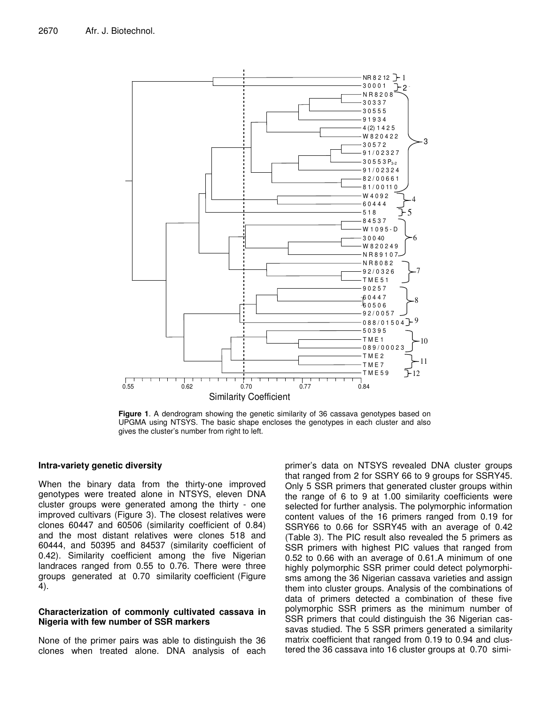

**Figure 1**. A dendrogram showing the genetic similarity of 36 cassava genotypes based on UPGMA using NTSYS. The basic shape encloses the genotypes in each cluster and also gives the cluster's number from right to left.

### **Intra-variety genetic diversity**

When the binary data from the thirty-one improved genotypes were treated alone in NTSYS, eleven DNA cluster groups were generated among the thirty - one improved cultivars (Figure 3). The closest relatives were clones 60447 and 60506 (similarity coefficient of 0.84) and the most distant relatives were clones 518 and 60444, and 50395 and 84537 (similarity coefficient of 0.42). Similarity coefficient among the five Nigerian landraces ranged from 0.55 to 0.76. There were three groups generated at 0.70 similarity coefficient (Figure 4).

# **Characterization of commonly cultivated cassava in Nigeria with few number of SSR markers**

None of the primer pairs was able to distinguish the 36 clones when treated alone. DNA analysis of each primer's data on NTSYS revealed DNA cluster groups that ranged from 2 for SSRY 66 to 9 groups for SSRY45. Only 5 SSR primers that generated cluster groups within the range of 6 to 9 at 1.00 similarity coefficients were selected for further analysis. The polymorphic information content values of the 16 primers ranged from 0.19 for SSRY66 to 0.66 for SSRY45 with an average of 0.42 (Table 3). The PIC result also revealed the 5 primers as SSR primers with highest PIC values that ranged from 0.52 to 0.66 with an average of 0.61.A minimum of one highly polymorphic SSR primer could detect polymorphisms among the 36 Nigerian cassava varieties and assign them into cluster groups. Analysis of the combinations of data of primers detected a combination of these five polymorphic SSR primers as the minimum number of SSR primers that could distinguish the 36 Nigerian cassavas studied. The 5 SSR primers generated a similarity matrix coefficient that ranged from 0.19 to 0.94 and clustered the 36 cassava into 16 cluster groups at 0.70 simi-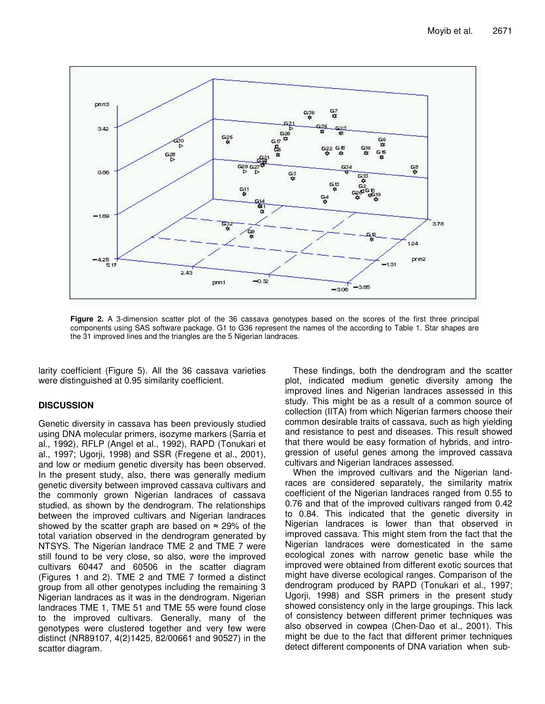

**Figure 2.** A 3-dimension scatter plot of the 36 cassava genotypes based on the scores of the first three principal components using SAS software package. G1 to G36 represent the names of the according to Table 1. Star shapes are the 31 improved lines and the triangles are the 5 Nigerian landraces.

larity coefficient (Figure 5). All the 36 cassava varieties were distinguished at 0.95 similarity coefficient.

# **DISCUSSION**

Genetic diversity in cassava has been previously studied using DNA molecular primers, isozyme markers (Sarria et al., 1992), RFLP (Angel et al., 1992), RAPD (Tonukari et al., 1997; Ugorji, 1998) and SSR (Fregene et al., 2001), and low or medium genetic diversity has been observed. In the present study, also, there was generally medium genetic diversity between improved cassava cultivars and the commonly grown Nigerian landraces of cassava studied, as shown by the dendrogram. The relationships between the improved cultivars and Nigerian landraces showed by the scatter graph are based on  $\approx$  29% of the total variation observed in the dendrogram generated by NTSYS. The Nigerian landrace TME 2 and TME 7 were still found to be very close, so also, were the improved cultivars 60447 and 60506 in the scatter diagram (Figures 1 and 2). TME 2 and TME 7 formed a distinct group from all other genotypes including the remaining 3 Nigerian landraces as it was in the dendrogram. Nigerian landraces TME 1, TME 51 and TME 55 were found close to the improved cultivars. Generally, many of the genotypes were clustered together and very few were distinct (NR89107, 4(2)1425, 82/00661 and 90527) in the scatter diagram.

These findings, both the dendrogram and the scatter plot, indicated medium genetic diversity among the improved lines and Nigerian landraces assessed in this study. This might be as a result of a common source of collection (IITA) from which Nigerian farmers choose their common desirable traits of cassava, such as high yielding and resistance to pest and diseases. This result showed that there would be easy formation of hybrids, and introgression of useful genes among the improved cassava cultivars and Nigerian landraces assessed.

When the improved cultivars and the Nigerian landraces are considered separately, the similarity matrix coefficient of the Nigerian landraces ranged from 0.55 to 0.76 and that of the improved cultivars ranged from 0.42 to 0.84. This indicated that the genetic diversity in Nigerian landraces is lower than that observed in improved cassava. This might stem from the fact that the Nigerian landraces were domesticated in the same ecological zones with narrow genetic base while the improved were obtained from different exotic sources that might have diverse ecological ranges. Comparison of the dendrogram produced by RAPD (Tonukari et al*.*, 1997; Ugorji, 1998) and SSR primers in the present study showed consistency only in the large groupings. This lack of consistency between different primer techniques was also observed in cowpea (Chen-Dao et al*.,* 2001). This might be due to the fact that different primer techniques detect different components of DNA variation when sub-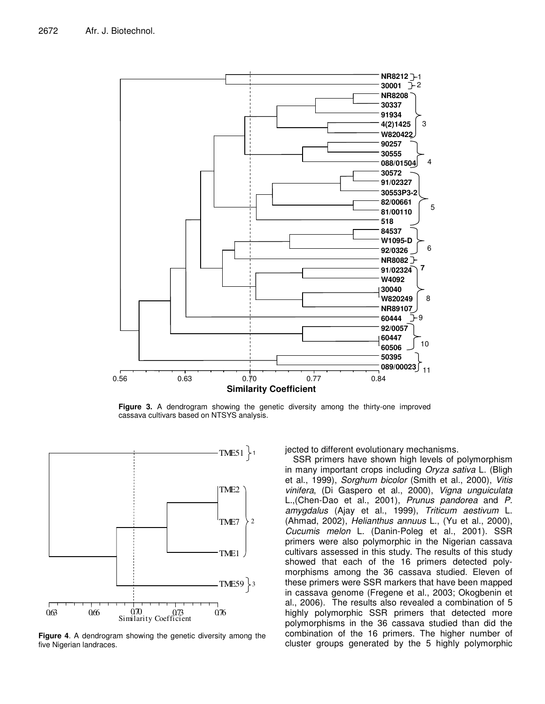

**Figure 3.** A dendrogram showing the genetic diversity among the thirty-one improved cassava cultivars based on NTSYS analysis.



**Figure 4**. A dendrogram showing the genetic diversity among the five Nigerian landraces.

jected to different evolutionary mechanisms.

SSR primers have shown high levels of polymorphism in many important crops including *Oryza sativa* L. (Bligh et al., 1999), *Sorghum bicolor* (Smith et al., 2000), *Vitis vinifera*, (Di Gaspero et al., 2000), *Vigna unguiculata* L.,(Chen-Dao et al., 2001), *Prunus pandorea* and *P. amygdalus* (Ajay et al., 1999), *Triticum aestivum* L. (Ahmad, 2002), *Helianthus annuus* L., (Yu et al., 2000), *Cucumis melon* L. (Danin-Poleg et al., 2001). SSR primers were also polymorphic in the Nigerian cassava cultivars assessed in this study. The results of this study showed that each of the 16 primers detected polymorphisms among the 36 cassava studied. Eleven of these primers were SSR markers that have been mapped in cassava genome (Fregene et al., 2003; Okogbenin et al., 2006). The results also revealed a combination of 5 highly polymorphic SSR primers that detected more polymorphisms in the 36 cassava studied than did the combination of the 16 primers. The higher number of cluster groups generated by the 5 highly polymorphic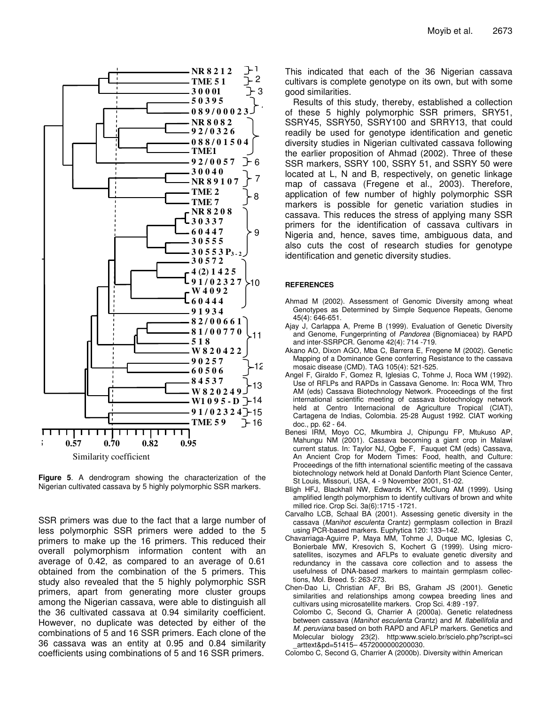

**Figure 5**. A dendrogram showing the characterization of the Nigerian cultivated cassava by 5 highly polymorphic SSR markers.

SSR primers was due to the fact that a large number of less polymorphic SSR primers were added to the 5 primers to make up the 16 primers. This reduced their overall polymorphism information content with an average of 0.42, as compared to an average of 0.61 obtained from the combination of the 5 primers. This study also revealed that the 5 highly polymorphic SSR primers, apart from generating more cluster groups among the Nigerian cassava, were able to distinguish all the 36 cultivated cassava at 0.94 similarity coefficient. However, no duplicate was detected by either of the combinations of 5 and 16 SSR primers. Each clone of the 36 cassava was an entity at 0.95 and 0.84 similarity coefficients using combinations of 5 and 16 SSR primers.

This indicated that each of the 36 Nigerian cassava cultivars is complete genotype on its own, but with some good similarities.

Results of this study, thereby, established a collection of these 5 highly polymorphic SSR primers, SRY51, SSRY45, SSRY50, SSRY100 and SRRY13, that could readily be used for genotype identification and genetic diversity studies in Nigerian cultivated cassava following the earlier proposition of Ahmad (2002). Three of these SSR markers, SSRY 100, SSRY 51, and SSRY 50 were located at L, N and B, respectively, on genetic linkage map of cassava (Fregene et al., 2003). Therefore, application of few number of highly polymorphic SSR markers is possible for genetic variation studies in cassava. This reduces the stress of applying many SSR primers for the identification of cassava cultivars in Nigeria and, hence, saves time, ambiguous data, and also cuts the cost of research studies for genotype identification and genetic diversity studies.

#### **REFERENCES**

- Ahmad M (2002). Assessment of Genomic Diversity among wheat Genotypes as Determined by Simple Sequence Repeats, Genome 45(4): 646-651.
- Ajay J, Carlappa A, Preme B (1999). Evaluation of Genetic Diversity and Genome, Fungerprinting of *Pandorea* (Bignomiacea) by RAPD and inter-SSRPCR. Genome 42(4): 714 -719.
- Akano AO, Dixon AGO, Mba C, Barrera E, Fregene M (2002). Genetic Mapping of a Dominance Gene conferring Resistance to the cassava mosaic disease (CMD). TAG 105(4): 521-525.
- Angel F, Giraldo F, Gomez R, Iglesias C, Tohme J, Roca WM (1992). Use of RFLPs and RAPDs in Cassava Genome. In: Roca WM, Thro AM (eds) Cassava Biotechnology Network. Proceedings of the first international scientific meeting of cassava biotechnology network held at Centro Internacional de Agriculture Tropical (CIAT), Cartagena de Indias, Colombia. 25-28 August 1992. CIAT working doc., pp. 62 - 64.
- Benesi IRM, Moyo CC, Mkumbira J, Chipungu FP, Mtukuso AP, Mahungu NM (2001). Cassava becoming a giant crop in Malawi current status. In: Taylor NJ, Ogbe F, Fauquet CM (eds) Cassava, An Ancient Crop for Modern Times: Food, health, and Culture: Proceedings of the fifth international scientific meeting of the cassava biotechnology network held at Donald Danforth Plant Science Center, St Louis, Missouri, USA, 4 - 9 November 2001, S1-02.
- Bligh HFJ, Blackhall NW, Edwards KY, McClung AM (1999). Using amplified length polymorphism to identify cultivars of brown and white milled rice*.* Crop Sci. 3a(6):1715 -1721.
- Carvalho LCB, Schaal BA (2001). Assessing genetic diversity in the cassava (*Manihot esculenta* Crantz) germplasm collection in Brazil using PCR-based markers. Euphytica 120: 133–142.
- Chavarriaga-Aguirre P, Maya MM, Tohme J, Duque MC, Iglesias C, Bonierbale MW, Kresovich S, Kochert G (1999). Using microsatellites, isozymes and AFLPs to evaluate genetic diversity and redundancy in the cassava core collection and to assess the usefulness of DNA-based markers to maintain germplasm collections, Mol. Breed. 5: 263-273.
- Chen-Dao Li, Christian AF, Bri BS, Graham JS (2001). Genetic similarities and relationships among cowpea breeding lines and cultivars using microsatellite markers. Crop Sci. 4:89 -197. Colombo C, Second G, Charrier A (2000a). Genetic relatedness between cassava (*Manihot esculenta* Crantz) and *M. flabellifolia* and *M. peruviana* based on both RAPD and AFLP markers. Genetics and Molecular biology 23(2). http:www.scielo.br/scielo.php?script=sci
- \_arttext&pd=51415– 4572000000200030. Colombo C, Second G, Charrier A (2000b). Diversity within American